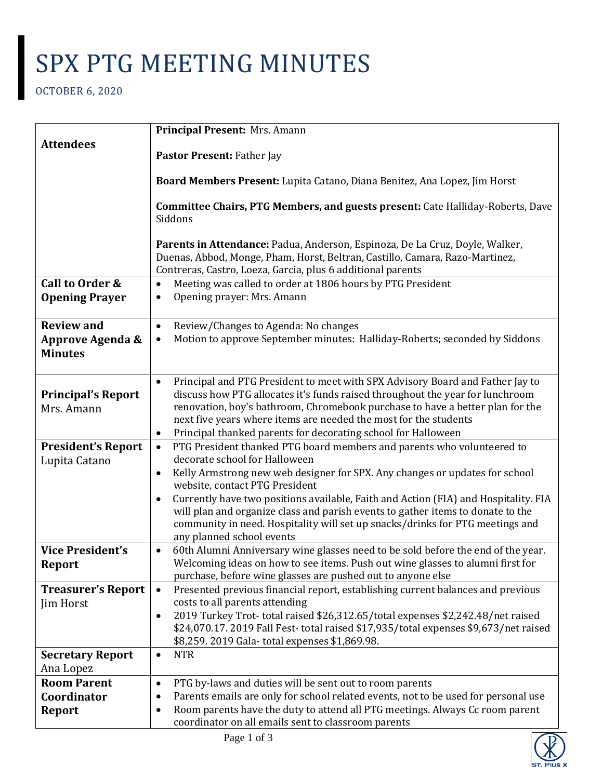## SPX PTG MEETING MINUTES

OCTOBER 6, 2020

|                                         | Principal Present: Mrs. Amann                                                                                                                                                                                                                                                                                                    |
|-----------------------------------------|----------------------------------------------------------------------------------------------------------------------------------------------------------------------------------------------------------------------------------------------------------------------------------------------------------------------------------|
| <b>Attendees</b>                        | Pastor Present: Father Jay                                                                                                                                                                                                                                                                                                       |
|                                         |                                                                                                                                                                                                                                                                                                                                  |
|                                         | Board Members Present: Lupita Catano, Diana Benitez, Ana Lopez, Jim Horst                                                                                                                                                                                                                                                        |
|                                         | <b>Committee Chairs, PTG Members, and guests present: Cate Halliday-Roberts, Dave</b><br>Siddons                                                                                                                                                                                                                                 |
|                                         | Parents in Attendance: Padua, Anderson, Espinoza, De La Cruz, Doyle, Walker,<br>Duenas, Abbod, Monge, Pham, Horst, Beltran, Castillo, Camara, Razo-Martinez,<br>Contreras, Castro, Loeza, Garcia, plus 6 additional parents                                                                                                      |
| Call to Order &                         | Meeting was called to order at 1806 hours by PTG President<br>$\bullet$                                                                                                                                                                                                                                                          |
| <b>Opening Prayer</b>                   | Opening prayer: Mrs. Amann<br>٠                                                                                                                                                                                                                                                                                                  |
|                                         |                                                                                                                                                                                                                                                                                                                                  |
| <b>Review and</b>                       | Review/Changes to Agenda: No changes<br>$\bullet$                                                                                                                                                                                                                                                                                |
| Approve Agenda &<br><b>Minutes</b>      | Motion to approve September minutes: Halliday-Roberts; seconded by Siddons<br>$\bullet$                                                                                                                                                                                                                                          |
| <b>Principal's Report</b><br>Mrs. Amann | Principal and PTG President to meet with SPX Advisory Board and Father Jay to<br>$\bullet$<br>discuss how PTG allocates it's funds raised throughout the year for lunchroom<br>renovation, boy's bathroom, Chromebook purchase to have a better plan for the<br>next five years where items are needed the most for the students |
| <b>President's Report</b>               | Principal thanked parents for decorating school for Halloween<br>$\bullet$<br>PTG President thanked PTG board members and parents who volunteered to<br>$\bullet$                                                                                                                                                                |
| Lupita Catano                           | decorate school for Halloween                                                                                                                                                                                                                                                                                                    |
|                                         | Kelly Armstrong new web designer for SPX. Any changes or updates for school<br>$\bullet$<br>website, contact PTG President                                                                                                                                                                                                       |
|                                         | Currently have two positions available, Faith and Action (FIA) and Hospitality. FIA<br>$\bullet$<br>will plan and organize class and parish events to gather items to donate to the<br>community in need. Hospitality will set up snacks/drinks for PTG meetings and<br>any planned school events                                |
| <b>Vice President's</b>                 | 60th Alumni Anniversary wine glasses need to be sold before the end of the year.<br>$\bullet$                                                                                                                                                                                                                                    |
| <b>Report</b>                           | Welcoming ideas on how to see items. Push out wine glasses to alumni first for<br>purchase, before wine glasses are pushed out to anyone else                                                                                                                                                                                    |
| <b>Treasurer's Report</b>               | Presented previous financial report, establishing current balances and previous<br>$\bullet$                                                                                                                                                                                                                                     |
| Jim Horst                               | costs to all parents attending                                                                                                                                                                                                                                                                                                   |
|                                         | 2019 Turkey Trot-total raised \$26,312.65/total expenses \$2,242.48/net raised<br>$\bullet$<br>\$24,070.17. 2019 Fall Fest-total raised \$17,935/total expenses \$9,673/net raised<br>\$8,259. 2019 Gala-total expenses \$1,869.98.                                                                                              |
| <b>Secretary Report</b>                 | <b>NTR</b><br>$\bullet$                                                                                                                                                                                                                                                                                                          |
| Ana Lopez<br><b>Room Parent</b>         |                                                                                                                                                                                                                                                                                                                                  |
| Coordinator                             | PTG by-laws and duties will be sent out to room parents<br>$\bullet$<br>Parents emails are only for school related events, not to be used for personal use<br>٠                                                                                                                                                                  |
| <b>Report</b>                           | Room parents have the duty to attend all PTG meetings. Always Cc room parent<br>$\bullet$                                                                                                                                                                                                                                        |
|                                         | coordinator on all emails sent to classroom parents                                                                                                                                                                                                                                                                              |

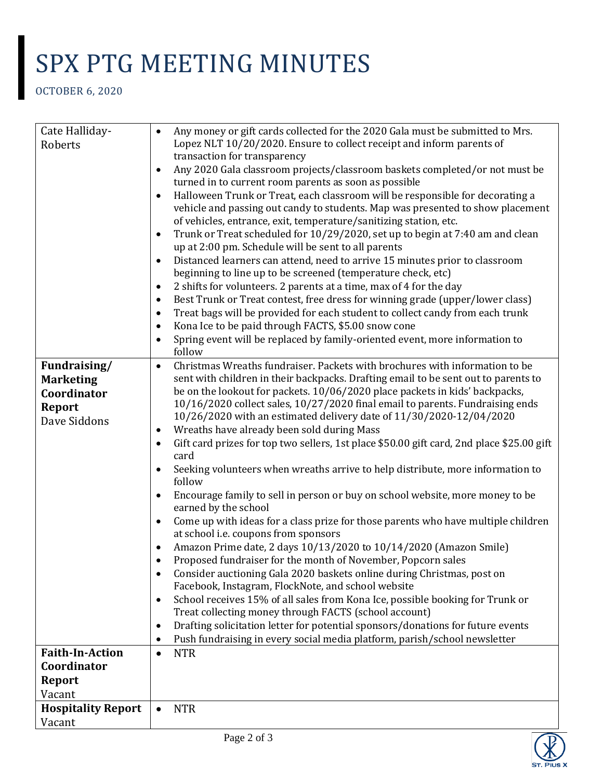## SPX PTG MEETING MINUTES

OCTOBER 6, 2020

| Cate Halliday-            | Any money or gift cards collected for the 2020 Gala must be submitted to Mrs.                     |
|---------------------------|---------------------------------------------------------------------------------------------------|
| Roberts                   | Lopez NLT 10/20/2020. Ensure to collect receipt and inform parents of                             |
|                           | transaction for transparency                                                                      |
|                           | Any 2020 Gala classroom projects/classroom baskets completed/or not must be<br>$\bullet$          |
|                           | turned in to current room parents as soon as possible                                             |
|                           | Halloween Trunk or Treat, each classroom will be responsible for decorating a                     |
|                           | vehicle and passing out candy to students. Map was presented to show placement                    |
|                           | of vehicles, entrance, exit, temperature/sanitizing station, etc.                                 |
|                           | Trunk or Treat scheduled for 10/29/2020, set up to begin at 7:40 am and clean<br>$\bullet$        |
|                           | up at 2:00 pm. Schedule will be sent to all parents                                               |
|                           | Distanced learners can attend, need to arrive 15 minutes prior to classroom                       |
|                           | beginning to line up to be screened (temperature check, etc)                                      |
|                           | 2 shifts for volunteers. 2 parents at a time, max of 4 for the day<br>$\bullet$                   |
|                           | Best Trunk or Treat contest, free dress for winning grade (upper/lower class)<br>$\bullet$        |
|                           | Treat bags will be provided for each student to collect candy from each trunk<br>$\bullet$        |
|                           | Kona Ice to be paid through FACTS, \$5.00 snow cone<br>$\bullet$                                  |
|                           | Spring event will be replaced by family-oriented event, more information to<br>$\bullet$          |
|                           | follow                                                                                            |
| Fundraising/              | Christmas Wreaths fundraiser. Packets with brochures with information to be<br>$\bullet$          |
| <b>Marketing</b>          | sent with children in their backpacks. Drafting email to be sent out to parents to                |
| Coordinator               | be on the lookout for packets. 10/06/2020 place packets in kids' backpacks,                       |
| <b>Report</b>             | 10/16/2020 collect sales, 10/27/2020 final email to parents. Fundraising ends                     |
| Dave Siddons              | 10/26/2020 with an estimated delivery date of 11/30/2020-12/04/2020                               |
|                           | Wreaths have already been sold during Mass                                                        |
|                           | Gift card prizes for top two sellers, 1st place \$50.00 gift card, 2nd place \$25.00 gift<br>card |
|                           | Seeking volunteers when wreaths arrive to help distribute, more information to                    |
|                           | follow                                                                                            |
|                           | Encourage family to sell in person or buy on school website, more money to be                     |
|                           | earned by the school                                                                              |
|                           | Come up with ideas for a class prize for those parents who have multiple children<br>$\bullet$    |
|                           | at school i.e. coupons from sponsors                                                              |
|                           | Amazon Prime date, 2 days 10/13/2020 to 10/14/2020 (Amazon Smile)                                 |
|                           | Proposed fundraiser for the month of November, Popcorn sales                                      |
|                           | Consider auctioning Gala 2020 baskets online during Christmas, post on                            |
|                           | Facebook, Instagram, FlockNote, and school website                                                |
|                           | School receives 15% of all sales from Kona Ice, possible booking for Trunk or<br>$\bullet$        |
|                           | Treat collecting money through FACTS (school account)                                             |
|                           | Drafting solicitation letter for potential sponsors/donations for future events                   |
|                           | Push fundraising in every social media platform, parish/school newsletter                         |
| <b>Faith-In-Action</b>    | <b>NTR</b><br>$\bullet$                                                                           |
| Coordinator               |                                                                                                   |
| <b>Report</b>             |                                                                                                   |
| Vacant                    |                                                                                                   |
| <b>Hospitality Report</b> | <b>NTR</b>                                                                                        |
| Vacant                    |                                                                                                   |
|                           |                                                                                                   |